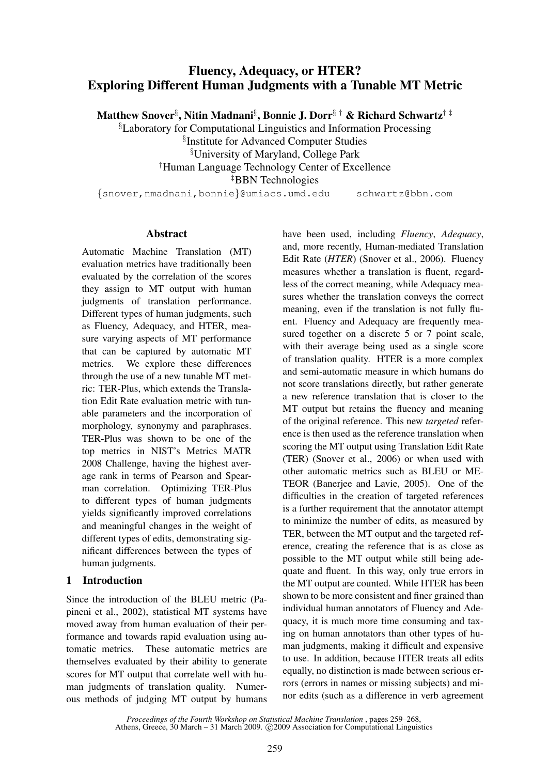# Fluency, Adequacy, or HTER? Exploring Different Human Judgments with a Tunable MT Metric

Matthew Snover§ , Nitin Madnani§ , Bonnie J. Dorr§ † & Richard Schwartz† ‡

§Laboratory for Computational Linguistics and Information Processing § Institute for Advanced Computer Studies §University of Maryland, College Park †Human Language Technology Center of Excellence ‡BBN Technologies

{snover,nmadnani,bonnie}@umiacs.umd.edu schwartz@bbn.com

# **Abstract**

Automatic Machine Translation (MT) evaluation metrics have traditionally been evaluated by the correlation of the scores they assign to MT output with human judgments of translation performance. Different types of human judgments, such as Fluency, Adequacy, and HTER, measure varying aspects of MT performance that can be captured by automatic MT metrics. We explore these differences through the use of a new tunable MT metric: TER-Plus, which extends the Translation Edit Rate evaluation metric with tunable parameters and the incorporation of morphology, synonymy and paraphrases. TER-Plus was shown to be one of the top metrics in NIST's Metrics MATR 2008 Challenge, having the highest average rank in terms of Pearson and Spearman correlation. Optimizing TER-Plus to different types of human judgments yields significantly improved correlations and meaningful changes in the weight of different types of edits, demonstrating significant differences between the types of human judgments.

# 1 Introduction

Since the introduction of the BLEU metric (Papineni et al., 2002), statistical MT systems have moved away from human evaluation of their performance and towards rapid evaluation using automatic metrics. These automatic metrics are themselves evaluated by their ability to generate scores for MT output that correlate well with human judgments of translation quality. Numerous methods of judging MT output by humans have been used, including *Fluency*, *Adequacy*, and, more recently, Human-mediated Translation Edit Rate (*HTER*) (Snover et al., 2006). Fluency measures whether a translation is fluent, regardless of the correct meaning, while Adequacy measures whether the translation conveys the correct meaning, even if the translation is not fully fluent. Fluency and Adequacy are frequently measured together on a discrete 5 or 7 point scale, with their average being used as a single score of translation quality. HTER is a more complex and semi-automatic measure in which humans do not score translations directly, but rather generate a new reference translation that is closer to the MT output but retains the fluency and meaning of the original reference. This new *targeted* reference is then used as the reference translation when scoring the MT output using Translation Edit Rate (TER) (Snover et al., 2006) or when used with other automatic metrics such as BLEU or ME-TEOR (Banerjee and Lavie, 2005). One of the difficulties in the creation of targeted references is a further requirement that the annotator attempt to minimize the number of edits, as measured by TER, between the MT output and the targeted reference, creating the reference that is as close as possible to the MT output while still being adequate and fluent. In this way, only true errors in the MT output are counted. While HTER has been shown to be more consistent and finer grained than individual human annotators of Fluency and Adequacy, it is much more time consuming and taxing on human annotators than other types of human judgments, making it difficult and expensive to use. In addition, because HTER treats all edits equally, no distinction is made between serious errors (errors in names or missing subjects) and minor edits (such as a difference in verb agreement

*Proceedings of the Fourth Workshop on Statistical Machine Translation* , pages 259–268, Athens, Greece, 30 March – 31 March 2009. © 2009 Association for Computational Linguistics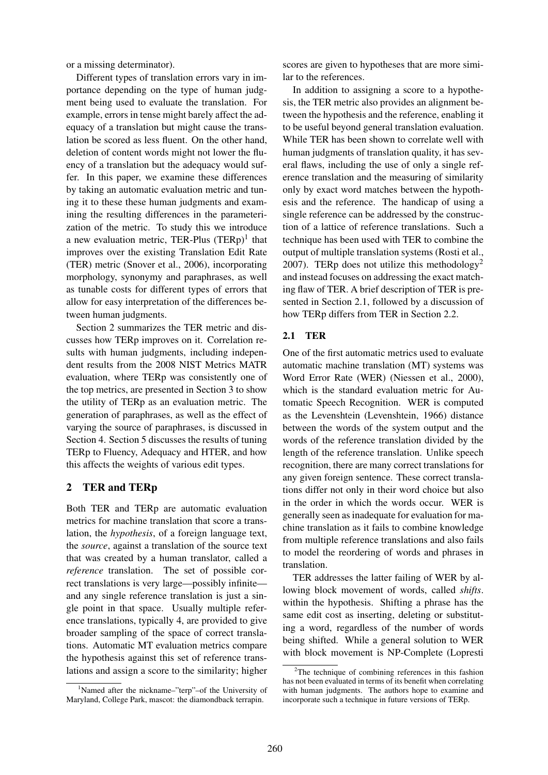or a missing determinator).

Different types of translation errors vary in importance depending on the type of human judgment being used to evaluate the translation. For example, errors in tense might barely affect the adequacy of a translation but might cause the translation be scored as less fluent. On the other hand, deletion of content words might not lower the fluency of a translation but the adequacy would suffer. In this paper, we examine these differences by taking an automatic evaluation metric and tuning it to these these human judgments and examining the resulting differences in the parameterization of the metric. To study this we introduce a new evaluation metric, TER-Plus  $(TERp)^1$  that improves over the existing Translation Edit Rate (TER) metric (Snover et al., 2006), incorporating morphology, synonymy and paraphrases, as well as tunable costs for different types of errors that allow for easy interpretation of the differences between human judgments.

Section 2 summarizes the TER metric and discusses how TERp improves on it. Correlation results with human judgments, including independent results from the 2008 NIST Metrics MATR evaluation, where TERp was consistently one of the top metrics, are presented in Section 3 to show the utility of TERp as an evaluation metric. The generation of paraphrases, as well as the effect of varying the source of paraphrases, is discussed in Section 4. Section 5 discusses the results of tuning TERp to Fluency, Adequacy and HTER, and how this affects the weights of various edit types.

## 2 TER and TERp

Both TER and TERp are automatic evaluation metrics for machine translation that score a translation, the *hypothesis*, of a foreign language text, the *source*, against a translation of the source text that was created by a human translator, called a *reference* translation. The set of possible correct translations is very large—possibly infinite and any single reference translation is just a single point in that space. Usually multiple reference translations, typically 4, are provided to give broader sampling of the space of correct translations. Automatic MT evaluation metrics compare the hypothesis against this set of reference translations and assign a score to the similarity; higher scores are given to hypotheses that are more similar to the references.

In addition to assigning a score to a hypothesis, the TER metric also provides an alignment between the hypothesis and the reference, enabling it to be useful beyond general translation evaluation. While TER has been shown to correlate well with human judgments of translation quality, it has several flaws, including the use of only a single reference translation and the measuring of similarity only by exact word matches between the hypothesis and the reference. The handicap of using a single reference can be addressed by the construction of a lattice of reference translations. Such a technique has been used with TER to combine the output of multiple translation systems (Rosti et al., 2007). TERp does not utilize this methodology<sup>2</sup> and instead focuses on addressing the exact matching flaw of TER. A brief description of TER is presented in Section 2.1, followed by a discussion of how TERp differs from TER in Section 2.2.

# 2.1 TER

One of the first automatic metrics used to evaluate automatic machine translation (MT) systems was Word Error Rate (WER) (Niessen et al., 2000), which is the standard evaluation metric for Automatic Speech Recognition. WER is computed as the Levenshtein (Levenshtein, 1966) distance between the words of the system output and the words of the reference translation divided by the length of the reference translation. Unlike speech recognition, there are many correct translations for any given foreign sentence. These correct translations differ not only in their word choice but also in the order in which the words occur. WER is generally seen as inadequate for evaluation for machine translation as it fails to combine knowledge from multiple reference translations and also fails to model the reordering of words and phrases in translation.

TER addresses the latter failing of WER by allowing block movement of words, called *shifts*. within the hypothesis. Shifting a phrase has the same edit cost as inserting, deleting or substituting a word, regardless of the number of words being shifted. While a general solution to WER with block movement is NP-Complete (Lopresti

<sup>1</sup>Named after the nickname–"terp"–of the University of Maryland, College Park, mascot: the diamondback terrapin.

 $2$ The technique of combining references in this fashion has not been evaluated in terms of its benefit when correlating with human judgments. The authors hope to examine and incorporate such a technique in future versions of TERp.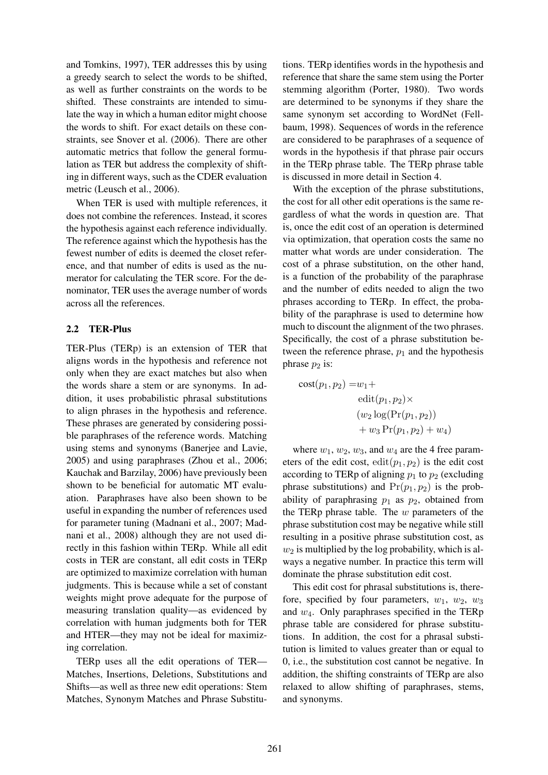and Tomkins, 1997), TER addresses this by using a greedy search to select the words to be shifted, as well as further constraints on the words to be shifted. These constraints are intended to simulate the way in which a human editor might choose the words to shift. For exact details on these constraints, see Snover et al. (2006). There are other automatic metrics that follow the general formulation as TER but address the complexity of shifting in different ways, such as the CDER evaluation metric (Leusch et al., 2006).

When TER is used with multiple references, it does not combine the references. Instead, it scores the hypothesis against each reference individually. The reference against which the hypothesis has the fewest number of edits is deemed the closet reference, and that number of edits is used as the numerator for calculating the TER score. For the denominator, TER uses the average number of words across all the references.

### 2.2 TER-Plus

TER-Plus (TERp) is an extension of TER that aligns words in the hypothesis and reference not only when they are exact matches but also when the words share a stem or are synonyms. In addition, it uses probabilistic phrasal substitutions to align phrases in the hypothesis and reference. These phrases are generated by considering possible paraphrases of the reference words. Matching using stems and synonyms (Banerjee and Lavie, 2005) and using paraphrases (Zhou et al., 2006; Kauchak and Barzilay, 2006) have previously been shown to be beneficial for automatic MT evaluation. Paraphrases have also been shown to be useful in expanding the number of references used for parameter tuning (Madnani et al., 2007; Madnani et al., 2008) although they are not used directly in this fashion within TERp. While all edit costs in TER are constant, all edit costs in TERp are optimized to maximize correlation with human judgments. This is because while a set of constant weights might prove adequate for the purpose of measuring translation quality—as evidenced by correlation with human judgments both for TER and HTER—they may not be ideal for maximizing correlation.

TERp uses all the edit operations of TER— Matches, Insertions, Deletions, Substitutions and Shifts—as well as three new edit operations: Stem Matches, Synonym Matches and Phrase Substitu-

tions. TERp identifies words in the hypothesis and reference that share the same stem using the Porter stemming algorithm (Porter, 1980). Two words are determined to be synonyms if they share the same synonym set according to WordNet (Fellbaum, 1998). Sequences of words in the reference are considered to be paraphrases of a sequence of words in the hypothesis if that phrase pair occurs in the TERp phrase table. The TERp phrase table is discussed in more detail in Section 4.

With the exception of the phrase substitutions, the cost for all other edit operations is the same regardless of what the words in question are. That is, once the edit cost of an operation is determined via optimization, that operation costs the same no matter what words are under consideration. The cost of a phrase substitution, on the other hand, is a function of the probability of the paraphrase and the number of edits needed to align the two phrases according to TERp. In effect, the probability of the paraphrase is used to determine how much to discount the alignment of the two phrases. Specifically, the cost of a phrase substitution between the reference phrase,  $p_1$  and the hypothesis phrase  $p_2$  is:

cost
$$
(p_1, p_2) = w_1 +
$$
  
edit $(p_1, p_2) \times$   
 $(w_2 \log(\Pr(p_1, p_2))$   
 $+ w_3 \Pr(p_1, p_2) + w_4)$ 

where  $w_1, w_2, w_3$ , and  $w_4$  are the 4 free parameters of the edit cost,  $edit(p_1, p_2)$  is the edit cost according to TERp of aligning  $p_1$  to  $p_2$  (excluding phrase substitutions) and  $Pr(p_1, p_2)$  is the probability of paraphrasing  $p_1$  as  $p_2$ , obtained from the TERp phrase table. The  $w$  parameters of the phrase substitution cost may be negative while still resulting in a positive phrase substitution cost, as  $w_2$  is multiplied by the log probability, which is always a negative number. In practice this term will dominate the phrase substitution edit cost.

This edit cost for phrasal substitutions is, therefore, specified by four parameters,  $w_1$ ,  $w_2$ ,  $w_3$ and  $w_4$ . Only paraphrases specified in the TERp phrase table are considered for phrase substitutions. In addition, the cost for a phrasal substitution is limited to values greater than or equal to 0, i.e., the substitution cost cannot be negative. In addition, the shifting constraints of TERp are also relaxed to allow shifting of paraphrases, stems, and synonyms.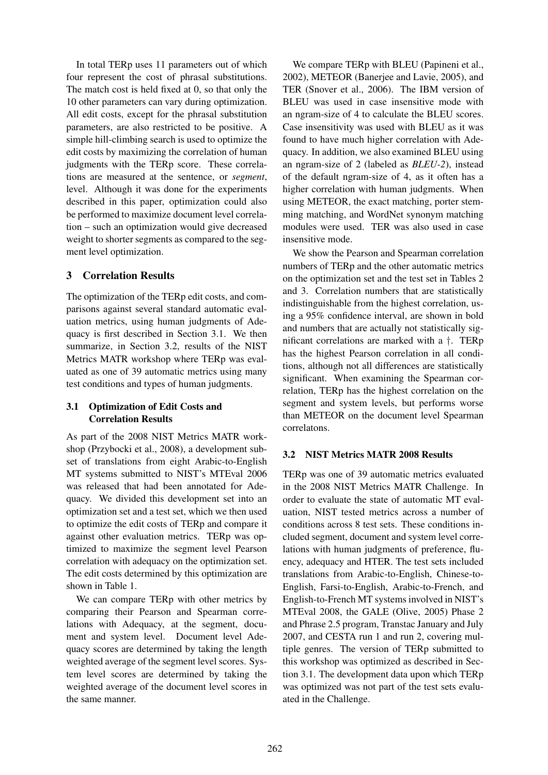In total TERp uses 11 parameters out of which four represent the cost of phrasal substitutions. The match cost is held fixed at 0, so that only the 10 other parameters can vary during optimization. All edit costs, except for the phrasal substitution parameters, are also restricted to be positive. A simple hill-climbing search is used to optimize the edit costs by maximizing the correlation of human judgments with the TERp score. These correlations are measured at the sentence, or *segment*, level. Although it was done for the experiments described in this paper, optimization could also be performed to maximize document level correlation – such an optimization would give decreased weight to shorter segments as compared to the segment level optimization.

# 3 Correlation Results

The optimization of the TERp edit costs, and comparisons against several standard automatic evaluation metrics, using human judgments of Adequacy is first described in Section 3.1. We then summarize, in Section 3.2, results of the NIST Metrics MATR workshop where TERp was evaluated as one of 39 automatic metrics using many test conditions and types of human judgments.

## 3.1 Optimization of Edit Costs and Correlation Results

As part of the 2008 NIST Metrics MATR workshop (Przybocki et al., 2008), a development subset of translations from eight Arabic-to-English MT systems submitted to NIST's MTEval 2006 was released that had been annotated for Adequacy. We divided this development set into an optimization set and a test set, which we then used to optimize the edit costs of TERp and compare it against other evaluation metrics. TERp was optimized to maximize the segment level Pearson correlation with adequacy on the optimization set. The edit costs determined by this optimization are shown in Table 1.

We can compare TERp with other metrics by comparing their Pearson and Spearman correlations with Adequacy, at the segment, document and system level. Document level Adequacy scores are determined by taking the length weighted average of the segment level scores. System level scores are determined by taking the weighted average of the document level scores in the same manner.

We compare TERp with BLEU (Papineni et al., 2002), METEOR (Banerjee and Lavie, 2005), and TER (Snover et al., 2006). The IBM version of BLEU was used in case insensitive mode with an ngram-size of 4 to calculate the BLEU scores. Case insensitivity was used with BLEU as it was found to have much higher correlation with Adequacy. In addition, we also examined BLEU using an ngram-size of 2 (labeled as *BLEU-2*), instead of the default ngram-size of 4, as it often has a higher correlation with human judgments. When using METEOR, the exact matching, porter stemming matching, and WordNet synonym matching modules were used. TER was also used in case insensitive mode.

We show the Pearson and Spearman correlation numbers of TERp and the other automatic metrics on the optimization set and the test set in Tables 2 and 3. Correlation numbers that are statistically indistinguishable from the highest correlation, using a 95% confidence interval, are shown in bold and numbers that are actually not statistically significant correlations are marked with a †. TERp has the highest Pearson correlation in all conditions, although not all differences are statistically significant. When examining the Spearman correlation, TERp has the highest correlation on the segment and system levels, but performs worse than METEOR on the document level Spearman correlatons.

## 3.2 NIST Metrics MATR 2008 Results

TERp was one of 39 automatic metrics evaluated in the 2008 NIST Metrics MATR Challenge. In order to evaluate the state of automatic MT evaluation, NIST tested metrics across a number of conditions across 8 test sets. These conditions included segment, document and system level correlations with human judgments of preference, fluency, adequacy and HTER. The test sets included translations from Arabic-to-English, Chinese-to-English, Farsi-to-English, Arabic-to-French, and English-to-French MT systems involved in NIST's MTEval 2008, the GALE (Olive, 2005) Phase 2 and Phrase 2.5 program, Transtac January and July 2007, and CESTA run 1 and run 2, covering multiple genres. The version of TERp submitted to this workshop was optimized as described in Section 3.1. The development data upon which TERp was optimized was not part of the test sets evaluated in the Challenge.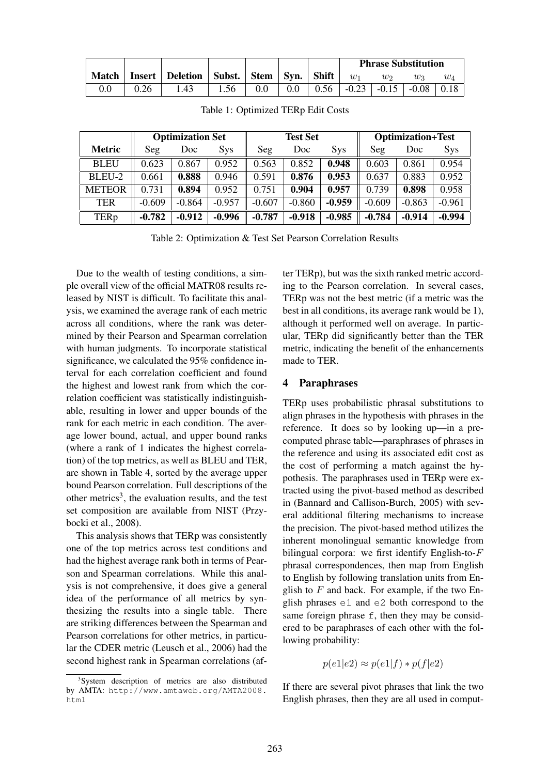|  |                                                          |      |     |         | <b>Phrase Substitution</b> |                |                                               |         |
|--|----------------------------------------------------------|------|-----|---------|----------------------------|----------------|-----------------------------------------------|---------|
|  | Match   Insert   Deletion   Subst.   Stem   Syn.   Shift |      |     |         | $\overline{w_1}$           | W <sub>2</sub> | Wз                                            | $w_{4}$ |
|  | $^{\circ}$ .43                                           | 1.56 | 0.0 | $0.0\,$ |                            |                | $0.56$   $-0.23$   $-0.15$   $-0.08$   $0.18$ |         |

|               |          | <b>Optimization Set</b> |          |          | <b>Test Set</b> |            | <b>Optimization+Test</b> |          |            |  |
|---------------|----------|-------------------------|----------|----------|-----------------|------------|--------------------------|----------|------------|--|
| <b>Metric</b> | Seg      | Doc                     | Sys      | Seg      | Doc             | <b>Sys</b> | Seg                      | Doc      | <b>Sys</b> |  |
| <b>BLEU</b>   | 0.623    | 0.867                   | 0.952    | 0.563    | 0.852           | 0.948      | 0.603                    | 0.861    | 0.954      |  |
| BLEU-2        | 0.661    | 0.888                   | 0.946    | 0.591    | 0.876           | 0.953      | 0.637                    | 0.883    | 0.952      |  |
| <b>METEOR</b> | 0.731    | 0.894                   | 0.952    | 0.751    | 0.904           | 0.957      | 0.739                    | 0.898    | 0.958      |  |
| <b>TER</b>    | $-0.609$ | $-0.864$                | $-0.957$ | $-0.607$ | $-0.860$        | $-0.959$   | $-0.609$                 | $-0.863$ | $-0.961$   |  |
| <b>TERp</b>   | $-0.782$ | $-0.912$                | $-0.996$ | $-0.787$ | $-0.918$        | $-0.985$   | $-0.784$                 | $-0.914$ | $-0.994$   |  |

Table 1: Optimized TERp Edit Costs

Table 2: Optimization & Test Set Pearson Correlation Results

Due to the wealth of testing conditions, a simple overall view of the official MATR08 results released by NIST is difficult. To facilitate this analysis, we examined the average rank of each metric across all conditions, where the rank was determined by their Pearson and Spearman correlation with human judgments. To incorporate statistical significance, we calculated the 95% confidence interval for each correlation coefficient and found the highest and lowest rank from which the correlation coefficient was statistically indistinguishable, resulting in lower and upper bounds of the rank for each metric in each condition. The average lower bound, actual, and upper bound ranks (where a rank of 1 indicates the highest correlation) of the top metrics, as well as BLEU and TER, are shown in Table 4, sorted by the average upper bound Pearson correlation. Full descriptions of the other metrics<sup>3</sup>, the evaluation results, and the test set composition are available from NIST (Przybocki et al., 2008).

This analysis shows that TERp was consistently one of the top metrics across test conditions and had the highest average rank both in terms of Pearson and Spearman correlations. While this analysis is not comprehensive, it does give a general idea of the performance of all metrics by synthesizing the results into a single table. There are striking differences between the Spearman and Pearson correlations for other metrics, in particular the CDER metric (Leusch et al., 2006) had the second highest rank in Spearman correlations (after TERp), but was the sixth ranked metric according to the Pearson correlation. In several cases, TERp was not the best metric (if a metric was the best in all conditions, its average rank would be 1), although it performed well on average. In particular, TERp did significantly better than the TER metric, indicating the benefit of the enhancements made to TER.

## 4 Paraphrases

TERp uses probabilistic phrasal substitutions to align phrases in the hypothesis with phrases in the reference. It does so by looking up—in a precomputed phrase table—paraphrases of phrases in the reference and using its associated edit cost as the cost of performing a match against the hypothesis. The paraphrases used in TERp were extracted using the pivot-based method as described in (Bannard and Callison-Burch, 2005) with several additional filtering mechanisms to increase the precision. The pivot-based method utilizes the inherent monolingual semantic knowledge from bilingual corpora: we first identify English-to- $F$ phrasal correspondences, then map from English to English by following translation units from English to  $F$  and back. For example, if the two English phrases e1 and e2 both correspond to the same foreign phrase  $f$ , then they may be considered to be paraphrases of each other with the following probability:

$$
p(e1|e2) \approx p(e1|f) * p(f|e2)
$$

If there are several pivot phrases that link the two English phrases, then they are all used in comput-

<sup>&</sup>lt;sup>3</sup>System description of metrics are also distributed by AMTA: http://www.amtaweb.org/AMTA2008. html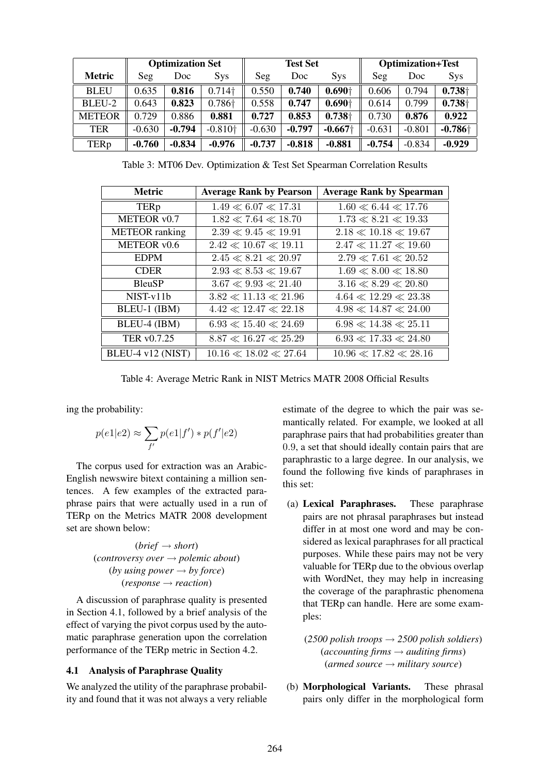|               |          | <b>Optimization Set</b> |                    |          | <b>Test Set</b> |                       | <b>Optimization+Test</b> |          |            |  |
|---------------|----------|-------------------------|--------------------|----------|-----------------|-----------------------|--------------------------|----------|------------|--|
| <b>Metric</b> | Seg      | Doc                     | <b>Sys</b>         | Seg      | Doc             | <b>Sys</b>            | Seg                      | Doc      | <b>Sys</b> |  |
| <b>BLEU</b>   | 0.635    | 0.816                   | $0.714\dagger$     | 0.550    | 0.740           | $0.690+$              | 0.606                    | 0.794    | $0.738+$   |  |
| BLEU-2        | 0.643    | 0.823                   | 0.786 <sup>+</sup> | 0.558    | 0.747           | $0.690+$              | 0.614                    | 0.799    | $0.738+$   |  |
| <b>METEOR</b> | 0.729    | 0.886                   | 0.881              | 0.727    | 0.853           | $0.738 +$             | 0.730                    | 0.876    | 0.922      |  |
| TER           | $-0.630$ | $-0.794$                | $-0.810+$          | $-0.630$ | $-0.797$        | $-0.667$ <sup>+</sup> | $-0.631$                 | $-0.801$ | $-0.786 +$ |  |
| TERp          | $-0.760$ | $-0.834$                | $-0.976$           | $-0.737$ | $-0.818$        | $-0.881$              | $-0.754$                 | $-0.834$ | $-0.929$   |  |

Table 3: MT06 Dev. Optimization & Test Set Spearman Correlation Results

| <b>Metric</b>         | <b>Average Rank by Pearson</b> | <b>Average Rank by Spearman</b> |
|-----------------------|--------------------------------|---------------------------------|
| <b>TERp</b>           | $1.49 \ll 6.07 \ll 17.31$      | $1.60 \ll 6.44 \ll 17.76$       |
| METEOR v0.7           | $1.82 \ll 7.64 \ll 18.70$      | $1.73 \ll 8.21 \ll 19.33$       |
| <b>METEOR</b> ranking | $2.39 \ll 9.45 \ll 19.91$      | $2.18 \ll 10.18 \ll 19.67$      |
| METEOR v0.6           | $2.42 \ll 10.67 \ll 19.11$     | $2.47 \ll 11.27 \ll 19.60$      |
| <b>EDPM</b>           | $2.45\ll8.21\ll20.97$          | $2.79 \ll 7.61 \ll 20.52$       |
| <b>CDER</b>           | $2.93 \ll 8.53 \ll 19.67$      | $1.69 \ll 8.00 \ll 18.80$       |
| <b>BleuSP</b>         | $3.67 \ll 9.93 \ll 21.40$      | $3.16 \ll 8.29 \ll 20.80$       |
| NIST-v11b             | $3.82 \ll 11.13 \ll 21.96$     | $4.64 \ll 12.29 \ll 23.38$      |
| BLEU-1 (IBM)          | $4.42 \ll 12.47 \ll 22.18$     | $4.98 \ll 14.87 \ll 24.00$      |
| BLEU-4 (IBM)          | $6.93 \ll 15.40 \ll 24.69$     | $6.98 \ll 14.38 \ll 25.11$      |
| TER v0.7.25           | $8.87 \ll 16.27 \ll 25.29$     | $6.93 \ll 17.33 \ll 24.80$      |
| BLEU-4 v12 (NIST)     | $10.16 \ll 18.02 \ll 27.64$    | $10.96 \ll 17.82 \ll 28.16$     |

Table 4: Average Metric Rank in NIST Metrics MATR 2008 Official Results

ing the probability:

$$
p(e1|e2) \approx \sum_{f'} p(e1|f') * p(f'|e2)
$$

The corpus used for extraction was an Arabic-English newswire bitext containing a million sentences. A few examples of the extracted paraphrase pairs that were actually used in a run of TERp on the Metrics MATR 2008 development set are shown below:

> $(brief \rightarrow short)$ (*controversy over* → *polemic about*) (*by using power*  $\rightarrow$  *by force*) (*response* → *reaction*)

A discussion of paraphrase quality is presented in Section 4.1, followed by a brief analysis of the effect of varying the pivot corpus used by the automatic paraphrase generation upon the correlation performance of the TERp metric in Section 4.2.

#### 4.1 Analysis of Paraphrase Quality

We analyzed the utility of the paraphrase probability and found that it was not always a very reliable estimate of the degree to which the pair was semantically related. For example, we looked at all paraphrase pairs that had probabilities greater than 0.9, a set that should ideally contain pairs that are paraphrastic to a large degree. In our analysis, we found the following five kinds of paraphrases in this set:

(a) Lexical Paraphrases. These paraphrase pairs are not phrasal paraphrases but instead differ in at most one word and may be considered as lexical paraphrases for all practical purposes. While these pairs may not be very valuable for TERp due to the obvious overlap with WordNet, they may help in increasing the coverage of the paraphrastic phenomena that TERp can handle. Here are some examples:

(*2500 polish troops* → *2500 polish soldiers*)  $(accounting firms \rightarrow auditing firms)$ (*armed source* → *military source*)

(b) Morphological Variants. These phrasal pairs only differ in the morphological form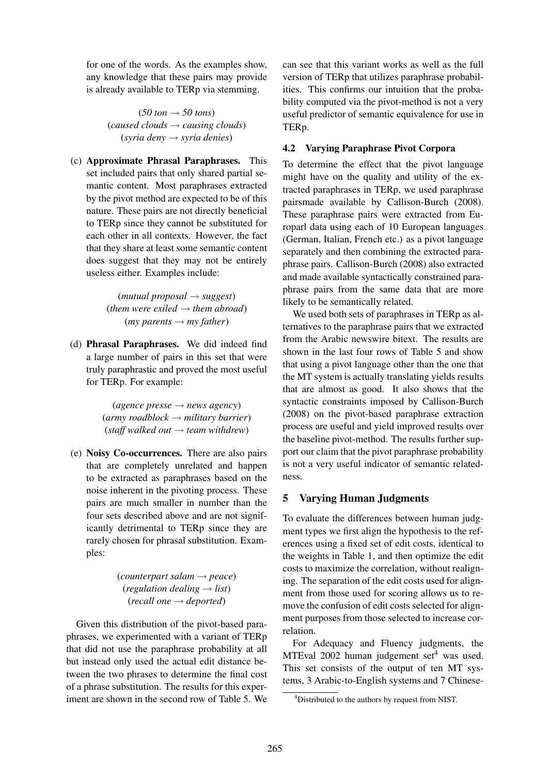for one of the words. As the examples show, any knowledge that these pairs may provide is already available to TERp via stemming.

> $(50 \text{ ton} \rightarrow 50 \text{ tons})$ (*caused clouds* → *causing clouds*) (*syria deny* → *syria denies*)

(c) Approximate Phrasal Paraphrases. This set included pairs that only shared partial semantic content. Most paraphrases extracted by the pivot method are expected to be of this nature. These pairs are not directly beneficial to TERp since they cannot be substituted for each other in all contexts. However, the fact that they share at least some semantic content does suggest that they may not be entirely useless either. Examples include:

> (*mutual proposal* → *suggest*) (*them were exiled*  $\rightarrow$  *them abroad*)  $(my$  parents  $\rightarrow$  *my father*)

(d) Phrasal Paraphrases. We did indeed find a large number of pairs in this set that were truly paraphrastic and proved the most useful for TERp. For example:

> $(agence pressure \rightarrow news agency)$ (*army roadblock* → *military barrier*)  $(statf$  *walked out*  $\rightarrow$  *team withdrew*)

(e) Noisy Co-occurrences. There are also pairs that are completely unrelated and happen to be extracted as paraphrases based on the noise inherent in the pivoting process. These pairs are much smaller in number than the four sets described above and are not significantly detrimental to TERp since they are rarely chosen for phrasal substitution. Examples:

> (*counterpart salam* → *peace*)  $(regulation\, dealing \rightarrow list)$ (*recall one* → *deported*)

Given this distribution of the pivot-based paraphrases, we experimented with a variant of TERp that did not use the paraphrase probability at all but instead only used the actual edit distance between the two phrases to determine the final cost of a phrase substitution. The results for this experiment are shown in the second row of Table 5. We can see that this variant works as well as the full version of TERp that utilizes paraphrase probabilities. This confirms our intuition that the probability computed via the pivot-method is not a very useful predictor of semantic equivalence for use in TERp.

### 4.2 Varying Paraphrase Pivot Corpora

To determine the effect that the pivot language might have on the quality and utility of the extracted paraphrases in TERp, we used paraphrase pairsmade available by Callison-Burch (2008). These paraphrase pairs were extracted from Europarl data using each of 10 European languages (German, Italian, French etc.) as a pivot language separately and then combining the extracted paraphrase pairs. Callison-Burch (2008) also extracted and made available syntactically constrained paraphrase pairs from the same data that are more likely to be semantically related.

We used both sets of paraphrases in TERp as alternatives to the paraphrase pairs that we extracted from the Arabic newswire bitext. The results are shown in the last four rows of Table 5 and show that using a pivot language other than the one that the MT system is actually translating yields results that are almost as good. It also shows that the syntactic constraints imposed by Callison-Burch (2008) on the pivot-based paraphrase extraction process are useful and yield improved results over the baseline pivot-method. The results further support our claim that the pivot paraphrase probability is not a very useful indicator of semantic relatedness.

#### 5 Varying Human Judgments

To evaluate the differences between human judgment types we first align the hypothesis to the references using a fixed set of edit costs, identical to the weights in Table 1, and then optimize the edit costs to maximize the correlation, without realigning. The separation of the edit costs used for alignment from those used for scoring allows us to remove the confusion of edit costs selected for alignment purposes from those selected to increase correlation.

For Adequacy and Fluency judgments, the MTEval  $2002$  human judgement set<sup>4</sup> was used. This set consists of the output of ten MT systems, 3 Arabic-to-English systems and 7 Chinese-

<sup>4</sup>Distributed to the authors by request from NIST.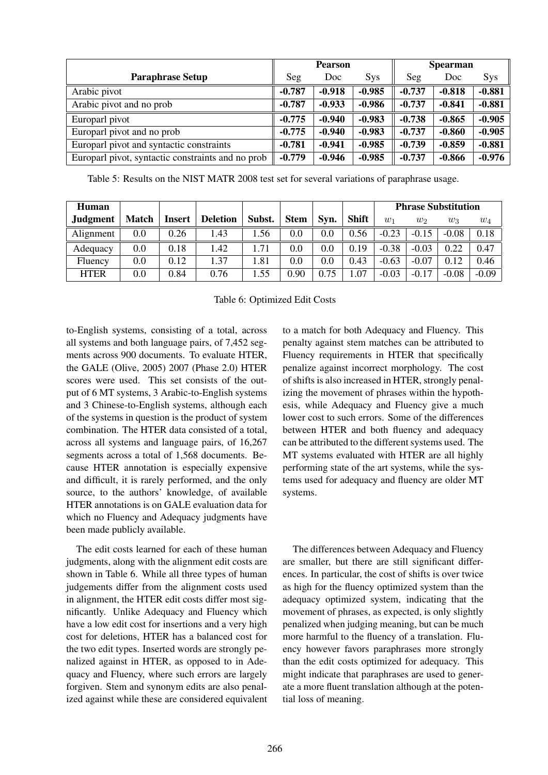|                                                   |          | <b>Pearson</b> |            | <b>Spearman</b> |          |            |
|---------------------------------------------------|----------|----------------|------------|-----------------|----------|------------|
| <b>Paraphrase Setup</b>                           | Seg      | Doc.           | <b>Sys</b> | Seg             | Doc      | <b>Sys</b> |
| Arabic pivot                                      | $-0.787$ | $-0.918$       | $-0.985$   | $-0.737$        | $-0.818$ | $-0.881$   |
| Arabic pivot and no prob                          | $-0.787$ | $-0.933$       | $-0.986$   | $-0.737$        | $-0.841$ | $-0.881$   |
| Europarl pivot                                    | $-0.775$ | $-0.940$       | $-0.983$   | $-0.738$        | $-0.865$ | $-0.905$   |
| Europarl pivot and no prob                        | $-0.775$ | $-0.940$       | $-0.983$   | $-0.737$        | $-0.860$ | $-0.905$   |
| Europarl pivot and syntactic constraints          | $-0.781$ | $-0.941$       | $-0.985$   | $-0.739$        | $-0.859$ | $-0.881$   |
| Europarl pivot, syntactic constraints and no prob | $-0.779$ | $-0.946$       | $-0.985$   | $-0.737$        | $-0.866$ | $-0.976$   |

Table 5: Results on the NIST MATR 2008 test set for several variations of paraphrase usage.

| Human           |              |        |                 |        |                   |      |              | <b>Phrase Substitution</b> |         |         |         |
|-----------------|--------------|--------|-----------------|--------|-------------------|------|--------------|----------------------------|---------|---------|---------|
| <b>Judgment</b> | <b>Match</b> | Insert | <b>Deletion</b> | Subst. | <b>Stem</b>       | Svn. | <b>Shift</b> | $w_1$                      | $w_2$   | $w_3$   | $w_4$   |
| Alignment       | $0.0\,$      | 0.26   | 1.43            | .56    | 0.0               | 0.0  | 0.56         | $-0.23$                    | $-0.15$ | $-0.08$ | 0.18    |
| Adequacy        | $0.0\,$      | 0.18   | 1.42            | 1.71   | 0.0               | 0.0  | 0.19         | $-0.38$                    | $-0.03$ | 0.22    | 0.47    |
| Fluency         | $0.0\,$      | 0.12   | 1.37            | 1.81   | 0.0               | 0.0  | 0.43         | $-0.63$                    | $-0.07$ | 0.12    | 0.46    |
| <b>HTER</b>     | $0.0\,$      | 0.84   | 0.76            | .55    | 0.90 <sub>1</sub> | 0.75 | 1.07         | $-0.03$                    | $-0.17$ | $-0.08$ | $-0.09$ |

Table 6: Optimized Edit Costs

to-English systems, consisting of a total, across all systems and both language pairs, of 7,452 segments across 900 documents. To evaluate HTER, the GALE (Olive, 2005) 2007 (Phase 2.0) HTER scores were used. This set consists of the output of 6 MT systems, 3 Arabic-to-English systems and 3 Chinese-to-English systems, although each of the systems in question is the product of system combination. The HTER data consisted of a total, across all systems and language pairs, of 16,267 segments across a total of 1,568 documents. Because HTER annotation is especially expensive and difficult, it is rarely performed, and the only source, to the authors' knowledge, of available HTER annotations is on GALE evaluation data for which no Fluency and Adequacy judgments have been made publicly available.

The edit costs learned for each of these human judgments, along with the alignment edit costs are shown in Table 6. While all three types of human judgements differ from the alignment costs used in alignment, the HTER edit costs differ most significantly. Unlike Adequacy and Fluency which have a low edit cost for insertions and a very high cost for deletions, HTER has a balanced cost for the two edit types. Inserted words are strongly penalized against in HTER, as opposed to in Adequacy and Fluency, where such errors are largely forgiven. Stem and synonym edits are also penalized against while these are considered equivalent to a match for both Adequacy and Fluency. This penalty against stem matches can be attributed to Fluency requirements in HTER that specifically penalize against incorrect morphology. The cost of shifts is also increased in HTER, strongly penalizing the movement of phrases within the hypothesis, while Adequacy and Fluency give a much lower cost to such errors. Some of the differences between HTER and both fluency and adequacy can be attributed to the different systems used. The MT systems evaluated with HTER are all highly performing state of the art systems, while the systems used for adequacy and fluency are older MT systems.

The differences between Adequacy and Fluency are smaller, but there are still significant differences. In particular, the cost of shifts is over twice as high for the fluency optimized system than the adequacy optimized system, indicating that the movement of phrases, as expected, is only slightly penalized when judging meaning, but can be much more harmful to the fluency of a translation. Fluency however favors paraphrases more strongly than the edit costs optimized for adequacy. This might indicate that paraphrases are used to generate a more fluent translation although at the potential loss of meaning.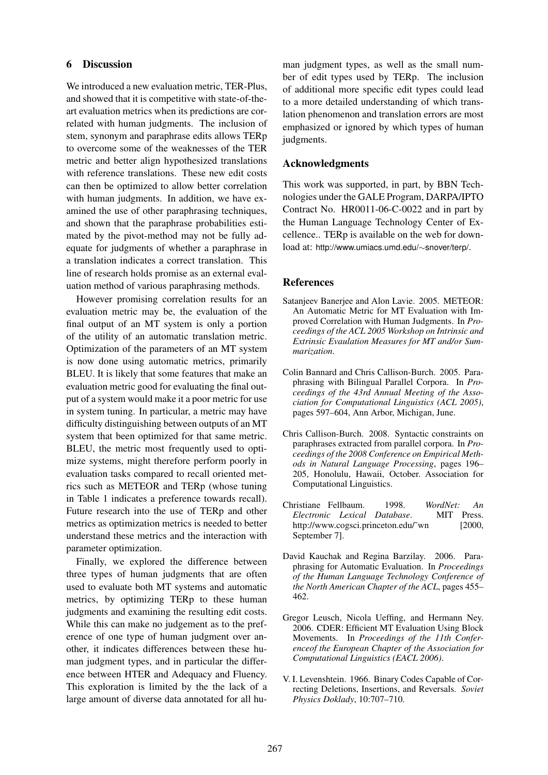### 6 Discussion

We introduced a new evaluation metric, TER-Plus, and showed that it is competitive with state-of-theart evaluation metrics when its predictions are correlated with human judgments. The inclusion of stem, synonym and paraphrase edits allows TERp to overcome some of the weaknesses of the TER metric and better align hypothesized translations with reference translations. These new edit costs can then be optimized to allow better correlation with human judgments. In addition, we have examined the use of other paraphrasing techniques, and shown that the paraphrase probabilities estimated by the pivot-method may not be fully adequate for judgments of whether a paraphrase in a translation indicates a correct translation. This line of research holds promise as an external evaluation method of various paraphrasing methods.

However promising correlation results for an evaluation metric may be, the evaluation of the final output of an MT system is only a portion of the utility of an automatic translation metric. Optimization of the parameters of an MT system is now done using automatic metrics, primarily BLEU. It is likely that some features that make an evaluation metric good for evaluating the final output of a system would make it a poor metric for use in system tuning. In particular, a metric may have difficulty distinguishing between outputs of an MT system that been optimized for that same metric. BLEU, the metric most frequently used to optimize systems, might therefore perform poorly in evaluation tasks compared to recall oriented metrics such as METEOR and TERp (whose tuning in Table 1 indicates a preference towards recall). Future research into the use of TERp and other metrics as optimization metrics is needed to better understand these metrics and the interaction with parameter optimization.

Finally, we explored the difference between three types of human judgments that are often used to evaluate both MT systems and automatic metrics, by optimizing TERp to these human judgments and examining the resulting edit costs. While this can make no judgement as to the preference of one type of human judgment over another, it indicates differences between these human judgment types, and in particular the difference between HTER and Adequacy and Fluency. This exploration is limited by the the lack of a large amount of diverse data annotated for all hu-

man judgment types, as well as the small number of edit types used by TERp. The inclusion of additional more specific edit types could lead to a more detailed understanding of which translation phenomenon and translation errors are most emphasized or ignored by which types of human judgments.

#### Acknowledgments

This work was supported, in part, by BBN Technologies under the GALE Program, DARPA/IPTO Contract No. HR0011-06-C-0022 and in part by the Human Language Technology Center of Excellence.. TERp is available on the web for download at: http://www.umiacs.umd.edu/∼snover/terp/.

#### References

- Satanjeev Banerjee and Alon Lavie. 2005. METEOR: An Automatic Metric for MT Evaluation with Improved Correlation with Human Judgments. In *Proceedings of the ACL 2005 Workshop on Intrinsic and Extrinsic Evaulation Measures for MT and/or Summarization*.
- Colin Bannard and Chris Callison-Burch. 2005. Paraphrasing with Bilingual Parallel Corpora. In *Proceedings of the 43rd Annual Meeting of the Association for Computational Linguistics (ACL 2005)*, pages 597–604, Ann Arbor, Michigan, June.
- Chris Callison-Burch. 2008. Syntactic constraints on paraphrases extracted from parallel corpora. In *Proceedings of the 2008 Conference on Empirical Methods in Natural Language Processing*, pages 196– 205, Honolulu, Hawaii, October. Association for Computational Linguistics.
- Christiane Fellbaum. 1998. *WordNet: An Electronic Lexical Database*. MIT Press. http://www.cogsci.princeton.edu/~wn [2000, September 7].
- David Kauchak and Regina Barzilay. 2006. Paraphrasing for Automatic Evaluation. In *Proceedings of the Human Language Technology Conference of the North American Chapter of the ACL*, pages 455– 462.
- Gregor Leusch, Nicola Ueffing, and Hermann Ney. 2006. CDER: Efficient MT Evaluation Using Block Movements. In *Proceedings of the 11th Conferenceof the European Chapter of the Association for Computational Linguistics (EACL 2006)*.
- V. I. Levenshtein. 1966. Binary Codes Capable of Correcting Deletions, Insertions, and Reversals. *Soviet Physics Doklady*, 10:707–710.